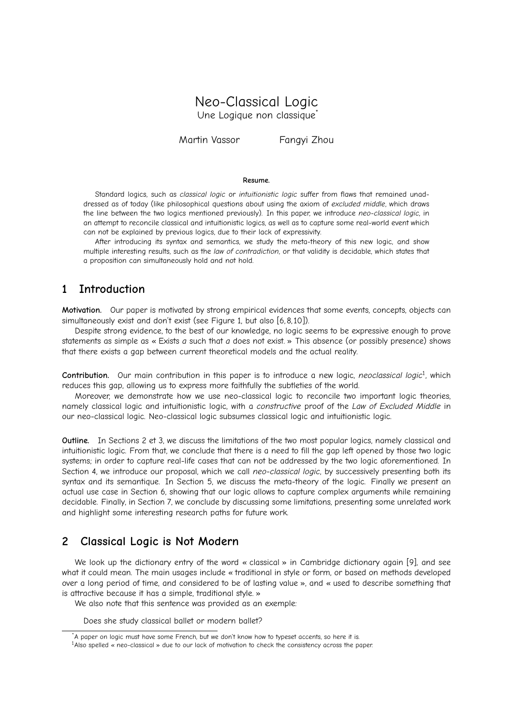# Neo-Classical Logic Une Logique non classique

Martin Vassor Fanayi Zhou

#### **Resume.**

Standard logics, such as *classical logic* or *intuitionistic logic* suffer from flaws that remained unaddressed as of today (like philosophical questions about using the axiom of *excluded middle*, which draws the line between the two logics mentioned previously). In this paper, we introduce *neo-classical logic*, in an attempt to reconcile classical and intuitionistic logics, as well as to capture some real-world event which can not be explained by previous logics, due to their lack of expressivity.

After introducing its syntax and semantics, we study the meta-theory of this new logic, and show multiple interesting results, such as the *law of contradiction*, or that validity is decidable, which states that a proposition can simultaneously hold and not hold.

## **1 Introduction**

**Motivation.** Our paper is motivated by strong empirical evidences that some events, concepts, objects can simultaneously exist and don't exist (see [Figure 1,](#page-1-0) but also [\[6,](#page-6-0) [8,](#page-6-1) [10\]](#page-6-2)).

Despite strong evidence, to the best of our knowledge, no logic seems to be expressive enough to prove statements as simple as « Exists *a* such that *a* does not exist. » This absence (or possibly presence) shows that there exists a gap between current theoretical models and the actual reality.

**Contribution.** Our main contribution in this paper is to introduce a new logic, *neoclassical logic*[1](#page-0-0) , which reduces this gap, allowing us to express more faithfully the subtleties of the world.

Moreover, we demonstrate how we use neo-classical logic to reconcile two important logic theories, namely classical logic and intuitionistic logic, with a *constructive* proof of the *Law of Excluded Middle* in our neo-classical logic. Neo-classical logic subsumes classical logic and intuitionistic logic.

**Outline.** In Sections [2](#page-0-1) et [3,](#page-1-1) we discuss the limitations of the two most popular logics, namely classical and intuitionistic logic. From that, we conclude that there is a need to fill the gap left opened by those two logic systems; in order to capture real-life cases that can not be addressed by the two logic aforementioned. In Section [4,](#page-1-2) we introduce our proposal, which we call *neo-classical logic*, by successively presenting both its syntax and its semantique. In Section [5,](#page-2-0) we discuss the meta-theory of the logic. Finally we present an actual use case in Section [6,](#page-5-0) showing that our logic allows to capture complex arguments while remaining decidable. Finally, in Section [7,](#page-5-1) we conclude by discussing some limitations, presenting some unrelated work and highlight some interesting research paths for future work.

# <span id="page-0-1"></span>**2 Classical Logic is Not Modern**

We look up the dictionary entry of the word « classical » in Cambridge dictionary again [\[9\]](#page-6-3), and see what it could mean. The main usages include « traditional in style or form, or based on methods developed over a long period of time, and considered to be of lasting value », and « used to describe something that is attractive because it has a simple, traditional style. »

We also note that this sentence was provided as an exemple:

Does she study classical ballet or modern ballet?

<span id="page-0-0"></span><sup>1</sup>Also spelled « neo-classical » due to our lack of motivation to check the consistency across the paper.

<sup>\*</sup>A paper on logic must have some French, but we don't know how to typeset accents, so here it is.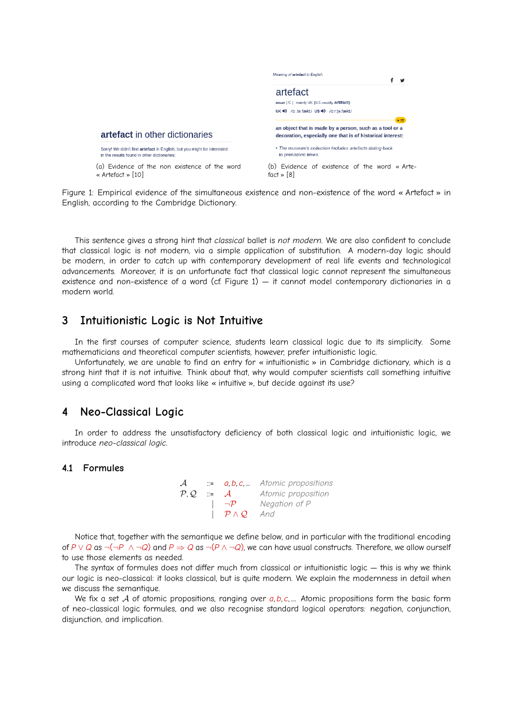<span id="page-1-0"></span>

Figure 1: Empirical evidence of the simultaneous existence and non-existence of the word « Artefact » in English, according to the Cambridge Dictionary.

This sentence gives a strong hint that *classical* ballet is *not modern*. We are also confident to conclude that classical logic is not modern, via a simple application of substitution. A modern-day logic should be modern, in order to catch up with contemporary development of real life events and technological advancements. Moreover, it is an unfortunate fact that classical logic cannot represent the simultaneous existence and non-existence of a word (cf. Figure [1\)](#page-1-0) — it cannot model contemporary dictionaries in a modern world.

## <span id="page-1-1"></span>**3 Intuitionistic Logic is Not Intuitive**

In the first courses of computer science, students learn classical logic due to its simplicity. Some mathematicians and theoretical computer scientists, however, prefer intuitionistic logic.

Unfortunately, we are unable to find an entry for « intuitionistic » in Cambridge dictionary, which is a strong hint that it is not intuitive. Think about that, why would computer scientists call something intuitive using a complicated word that looks like « intuitive », but decide against its use?

## <span id="page-1-2"></span>**4 Neo-Classical Logic**

In order to address the unsatisfactory deficiency of both classical logic and intuitionistic logic, we introduce *neo-classical logic*.

## **4.1 Formules**

| $\mathcal{A}^-$   |                              |                    | $\therefore$ <b>a, b, c, </b> Atomic propositions |
|-------------------|------------------------------|--------------------|---------------------------------------------------|
| $\mathcal{P}$ . Q | $\mathbb{R}^2$ $\mathcal{A}$ |                    | Atomic proposition                                |
|                   |                              | $\neg \mathcal{P}$ | Negation of P                                     |
|                   |                              | $P \wedge Q$ And   |                                                   |

Notice that, together with the semantique we define below, and in particular with the traditional encoding of *P* ∨ *Q* as ¬(¬*P* ∧ ¬*Q*) and *P* ⇒ *Q* as ¬(*P* ∧ ¬*Q*), we can have usual constructs. Therefore, we allow ourself to use those elements as needed.

The syntax of formules does not differ much from classical or intuitionistic logic — this is why we think our logic is neo-classical: it looks classical, but is quite modern. We explain the modernness in detail when we discuss the semantique.

We fix a set A of atomic propositions, ranging over *a, b, c, ....*. Atomic propositions form the basic form of neo-classical logic formules, and we also recognise standard logical operators: negation, conjunction, disjunction, and implication.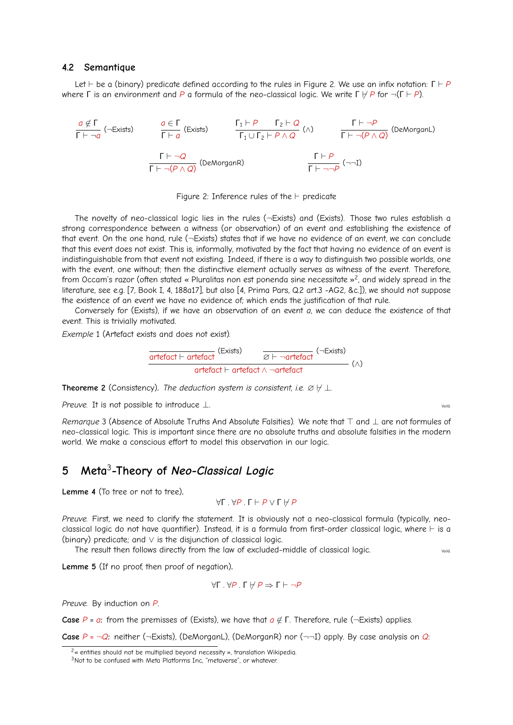#### **4.2 Semantique**

Let  $\vdash$  be a (binary) predicate defined according to the rules in Figure [2.](#page-2-1) We use an infix notation:  $\Gamma \vdash P$ where  $\Gamma$  is an environment and *P* a formula of the neo-classical logic. We write  $\Gamma \nvdash P$  for  $\neg(\Gamma \vdash P)$ .

<span id="page-2-1"></span>
$$
\frac{a \notin \Gamma}{\Gamma \vdash \neg a} \quad (\neg \text{Exists}) \qquad \frac{a \in \Gamma}{\Gamma \vdash a} \quad (\text{Exists}) \qquad \frac{\Gamma_1 \vdash P \qquad \Gamma_2 \vdash Q}{\Gamma_1 \cup \Gamma_2 \vdash P \land Q} \quad (\land) \qquad \frac{\Gamma \vdash \neg P}{\Gamma \vdash \neg (P \land Q)} \quad (\text{DeMorganL})
$$
\n
$$
\frac{\Gamma \vdash \neg Q}{\Gamma \vdash \neg (P \land Q)} \quad (\text{DeMorganR}) \qquad \frac{\Gamma \vdash P}{\Gamma \vdash \neg \neg P} \quad (\neg \neg \text{I})
$$

Figure 2: Inference rules of the  $\vdash$  predicate

The novelty of neo-classical logic lies in the rules (¬Exists) and (Exists). Those two rules establish a strong correspondence between a witness (or observation) of an event and establishing the existence of that event. On the one hand, rule (¬Exists) states that if we have no evidence of an event, we can conclude that this event does not exist. This is, informally, motivated by the fact that having no evidence of an event is indistinguishable from that event not existing. Indeed, if there is a way to distinguish two possible worlds, one with the event, one without; then the distinctive element actually serves as witness of the event. Therefore, from Occam's razor (often stated « Pluralitas non est ponenda sine necessitate »<sup>[2](#page-2-2)</sup>, and widely spread in the literature, see e.g. [\[7,](#page-6-4) Book I, 4, 188a17], but also [\[4,](#page-6-5) Prima Pars, Q.2 art.3 -AG2, &c.]), we should not suppose the existence of an event we have no evidence of; which ends the justification of that rule.

Conversely for (Exists), if we have an observation of an event *a*, we can deduce the existence of that event. This is trivially motivated.

*Exemple* 1 (Artefact exists and does not exist)*.*

$$
\frac{\text{arterfact} \vdash \text{arterfact}}{\text{arterfact} \vdash \text{arterfact} \land \neg \text{arterfact}} \xrightarrow{\text{G} \vdash \neg \text{arterfact}} (\land)
$$

**Theoreme 2** (Consistency). *The deduction system is consistent, i.e.*  $\emptyset \not\vdash \bot$ .

*Preuve.* It is not possible to introduce ⊥.

*Remarque* 3 (Absence of Absolute Truths And Absolute Falsities). We note that ⊤ and ⊥ are not formules of neo-classical logic. This is important since there are no absolute truths and absolute falsities in the modern world. We make a conscious effort to model this observation in our logic.

# <span id="page-2-0"></span>**5 Meta**[3](#page-2-3) **-Theory of** *Neo-Classical Logic*

<span id="page-2-4"></span>**Lemme 4** (To tree or not to tree)**.**

$$
\forall \Gamma \cdot \forall P \cdot \Gamma \vdash P \vee \Gamma \not\vdash P
$$

*Preuve.* First, we need to clarify the statement. It is obviously not a neo-classical formula (typically, neoclassical logic do not have quantifier). Instead, it is a formula from first-order classical logic, where  $\vdash$  is a (binary) predicate; and ∨ is the disjunction of classical logic.

The result then follows directly from the law of excluded-middle of classical logic.  $\frac{1}{2}$ 

<span id="page-2-5"></span>**Lemme 5** (If no proof, then proof of negation)**.**

$$
\forall \Gamma \cdot \forall P \cdot \Gamma \not\vdash P \Rightarrow \Gamma \vdash \neg P
$$

*Preuve.* By induction on *P*.

**Case**  $P = a$ : from the premisses of (Exists), we have that  $a \notin \Gamma$ . Therefore, rule (¬Exists) applies.

**Case**  $P = \neg Q$ : neither ( $\neg$ Exists), (DeMorganL), (DeMorganR) nor ( $\neg \neg I$ ) apply. By case analysis on *Q*:

<span id="page-2-2"></span> $2<sub>α</sub>$  entities should not be multiplied beyond necessity », translation Wikipedia.

<span id="page-2-3"></span><sup>&</sup>lt;sup>3</sup>Not to be confused with Meta Platforms Inc, "metaverse", or whatever.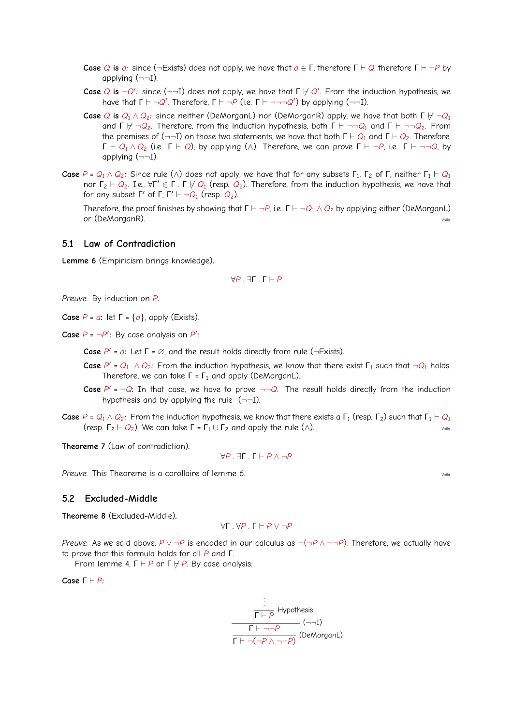- **Case** *Q* **is** *a*: since (¬Exists) does not apply, we have that  $a \in \Gamma$ , therefore  $\Gamma \vdash Q$ , therefore  $\Gamma \vdash \neg P$  by applying (¬¬I).
- **Case**  $Q$  **is**  $\neg Q'$ : since (¬¬I) does not apply, we have that  $\Gamma \not\vdash Q'$ . From the induction hypothesis, we have that  $\Gamma \vdash \neg Q'$ . Therefore,  $\Gamma \vdash \neg P$  (i.e.  $\Gamma \vdash \neg \neg \neg Q'$ ) by applying (¬¬I).
- **Case** *Q* **is**  $Q_1 \wedge Q_2$ : since neither (DeMorganL) nor (DeMorganR) apply, we have that both Γ  $\vdash \neg Q_1$ and Γ  $\forall$  ¬*Q*<sub>2</sub>. Therefore, from the induction hypothesis, both Γ  $\vdash$  ¬¬*Q*<sub>1</sub> and Γ  $\vdash$  ¬¬*Q*<sub>2</sub>. From the premises of ( $\neg$ -I) on those two statements, we have that both  $\Gamma \vdash Q_1$  and  $\Gamma \vdash Q_2$ . Therefore,  $Γ ⊢ Q_1 ∧ Q_2$  (i.e. Γ  $⊢ Q$ ), by applying (∧). Therefore, we can prove Γ  $⊢ ¬P$ , i.e. Γ  $⊢ ¬¬Q$ , by applying  $(\neg\neg I)$ .
- **Case**  $P$  =  $Q_1 \wedge Q_2$ : Since rule (∧) does not apply, we have that for any subsets  $\Gamma_1$ ,  $\Gamma_2$  of  $\Gamma$ , neither  $\Gamma_1 \vdash Q_1$  $\ln \ln \Gamma_2 \vdash Q_2$ . I.e.,  $\forall \Gamma' \in \Gamma$  . Γ  $\nvdash Q_1$  (resp.  $Q_2$ ). Therefore, from the induction hypothesis, we have that for any subset Γ' of Γ, Γ'  $\vdash \neg Q_1$  (resp.  $Q_2$ ).

Therefore, the proof finishes by showing that  $\Gamma \vdash \neg P$ , i.e.  $\Gamma \vdash \neg Q_1 \wedge Q_2$  by applying either (DeMorganL) or (DeMorganR).

#### **5.1 Law of Contradiction**

<span id="page-3-0"></span>**Lemme 6** (Empiricism brings knowledge)**.**

$$
\forall P \, . \, \exists \Gamma \, . \, \Gamma \vdash P
$$

*Preuve.* By induction on *P*.

**Case** *P* = *a***:** let Γ = {*a*}, apply (Exists).

**Case**  $P = \neg P'$ : By case analysis on  $P'$ :

**Case** *P*<sup>'</sup> = *a*: Let Γ = ∅, and the result holds directly from rule (¬Exists).

- **Case**  $P' = Q_1 \wedge Q_2$ : From the induction hypothesis, we know that there exist  $\Gamma_1$  such that  $\neg Q_1$  holds. Therefore, we can take  $\Gamma = \Gamma_1$  and apply (DeMorganL).
- **Case**  $P' = \neg Q$ : In that case, we have to prove  $\neg \neg Q$ . The result holds directly from the induction hypothesis and by applying the rule  $(-\neg 1)$ .
- **Case**  $P = Q_1 \wedge Q_2$ : From the induction hypothesis, we know that there exists a  $\Gamma_1$  (resp.  $\Gamma_2$ ) such that  $\Gamma_1 \vdash Q_1$ (resp.  $\Gamma_2 \vdash Q_2$ ). We can take  $\Gamma = \Gamma_1 \cup \Gamma_2$  and apply the rule  $(\wedge)$ .

**Theoreme 7** (Law of contradiction)**.**

∀*P* . ∃Γ . Γ ` *P* ∧ ¬*P*

**Preuve.** This Theoreme is a corollaire of lemme [6.](#page-3-0) Voilà. Voilà. Voilà. Voilà. Voilà. Voilà. Voilà. Voilà. Voilà. Voilà. Voilà. Voilà. Voilà. Voilà. Voilà. Voilà. Voilà. Voilà. Voilà. Voilà. Voilà. Voilà. Voilà. Voilà. Vo

#### **5.2 Excluded-Middle**

**Theoreme 8** (Excluded-Middle)**.**

$$
\forall \Gamma \, . \, \forall P \, . \, \Gamma \vdash P \vee \neg P
$$

*Preuve.* As we said above,  $P \vee \neg P$  is encoded in our calculus as  $\neg(\neg P \wedge \neg \neg P)$ . Therefore, we actually have to prove that this formula holds for all *P* and Γ.

From lemme [4,](#page-2-4) Γ *+ P* or Γ  $\forall$  *P*. By case analysis:

**Case**  $Γ ⊢ P$ **:** 

. . . Γ ` *P* Hypothesis Γ ` ¬¬*P* Γ ` ¬(¬*P* ∧ ¬¬*P*) (DeMorganL) (¬¬I)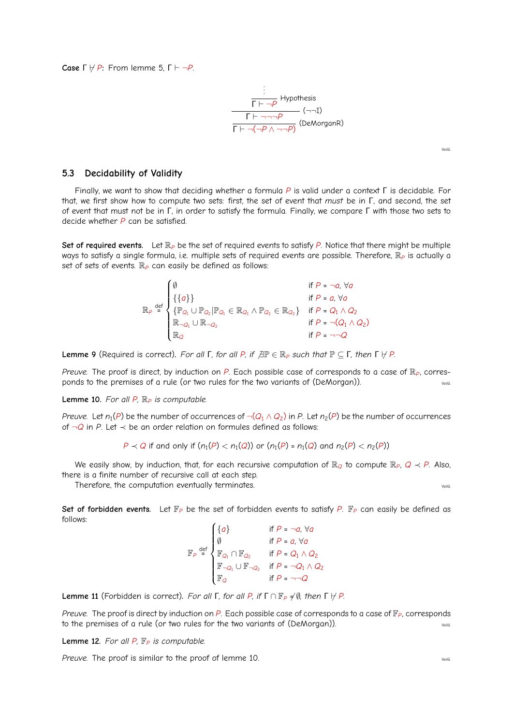**Case**  $\Gamma \nvdash P$ : From lemme [5,](#page-2-5)  $\Gamma \vdash \neg P$ .

$$
\frac{\frac{\vdots}{\Gamma \vdash \neg P} \text{ Hypothesis}}{\Gamma \vdash \neg \neg \neg P} \quad (\neg \neg 1)
$$
\n
$$
\frac{\Gamma \vdash \neg \neg P}{\Gamma \vdash \neg (\neg P \land \neg \neg P)} \text{ (DeMorganR)}
$$

Voilà.

#### **5.3 Decidability of Validity**

Finally, we want to show that deciding whether a formula *P* is valid under a context Γ is decidable. For that, we first show how to compute two sets: first, the set of event that *must* be in Γ, and second, the set of event that must not be in Γ, in order to satisfy the formula. Finally, we compare Γ with those two sets to decide whether *P* can be satisfied.

Set of required events. Let  $\mathbb{R}_P$  be the set of required events to satisfy *P*. Notice that there might be multiple ways to satisfy a single formula, i.e. multiple sets of required events are possible. Therefore,  $\mathbb{R}_P$  is actually a set of sets of events. R<sub>P</sub> can easily be defined as follows:

$$
\mathbb{R}_{P} \stackrel{\text{def}}{=} \begin{cases} \emptyset & \text{if } P = \neg a, \forall a \\ \{\{a\}\} & \text{if } P = a, \forall a \\ \{\mathbb{P}_{Q_1} \cup \mathbb{P}_{Q_2} | \mathbb{P}_{Q_1} \in \mathbb{R}_{Q_1} \land \mathbb{P}_{Q_2} \in \mathbb{R}_{Q_2}\} & \text{if } P = Q_1 \land Q_2 \\ \mathbb{R}_{\neg Q_1} \cup \mathbb{R}_{\neg Q_2} & \text{if } P = \neg (Q_1 \land Q_2) \\ \mathbb{R}_{Q} & \text{if } P = \neg \neg Q \end{cases}
$$

<span id="page-4-1"></span>**Lemme 9** (Required is correct). *For all* **Γ**, *for all P*, *if*  $\exists \mathbb{P} \in \mathbb{R}_P$  *such that*  $\mathbb{P} \subseteq \Gamma$ , *then*  $\Gamma \nvdash P$ .

*Preuve.* The proof is direct, by induction on *P*. Each possible case of corresponds to a case of R*P*, corresponds to the premises of a rule (or two rules for the two variants of (DeMorgan)).

<span id="page-4-0"></span>**Lemme 10.** *For all P,* R*<sup>P</sup> is computable.*

*Preuve.* Let  $n_1(P)$  be the number of occurrences of  $\neg (Q_1 \land Q_2)$  in *P.* Let  $n_2(P)$  be the number of occurrences of ¬*Q* in *P*. Let ≺ be an order relation on formules defined as follows:

$$
P \prec Q
$$
 if and only if  $(n_1(P) < n_1(Q))$  or  $(n_1(P) = n_1(Q)$  and  $n_2(P) < n_2(P)$ 

We easily show, by induction, that, for each recursive computation of  $\mathbb{R}_Q$  to compute  $\mathbb{R}_P$ ,  $Q \prec P$ . Also, there is a finite number of recursive call at each step.

Therefore, the computation eventually terminates. Therefore, the computation eventually terminates.

Set of forbidden events. Let  $\mathbb{F}_P$  be the set of forbidden events to satisfy P.  $\mathbb{F}_P$  can easily be defined as follows:  $\overline{ }$ 

$$
\mathbb{F}_{P} \stackrel{\text{def}}{=} \begin{cases}\n\{a\} & \text{if } P = \neg a, \forall a \\
\emptyset & \text{if } P = a, \forall a \\
\mathbb{F}_{Q_1} \cap \mathbb{F}_{Q_2} & \text{if } P = Q_1 \land Q_2 \\
\mathbb{F}_{\neg Q_1} \cup \mathbb{F}_{\neg Q_2} & \text{if } P = \neg Q_1 \land Q_2 \\
\mathbb{F}_{Q} & \text{if } P = \neg \neg Q\n\end{cases}
$$

<span id="page-4-2"></span>**Lemme 11** (Forbidden is correct). *For all* **Γ**, for all **P**, if  $\Gamma \cap \mathbb{F}_P \neq \emptyset$ , then  $\Gamma \nvdash P$ .

*Preuve.* The proof is direct by induction on *P*. Each possible case of corresponds to a case of  $\mathbb{F}_p$ , corresponds to the premises of a rule (or two rules for the two variants of (DeMorgan)).

**Lemme 12.** *For all P,* F*<sup>P</sup> is computable.*

*Preuve.* The proof is similar to the proof of lemme [10.](#page-4-0) Voilà. Voilà.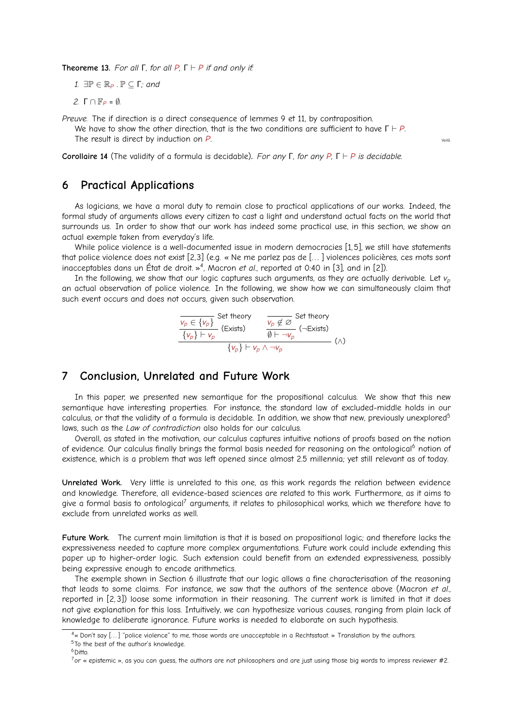**Theoreme 13.** For all  $\Gamma$ , for all  $P$ ,  $\Gamma \vdash P$  if and only if:

*1.* ∃ $\mathbb{P}$  ∈  $\mathbb{R}_P$  .  $\mathbb{P}$  ⊂ Γ*; and* 

*2.* Γ ∩ F*<sup>P</sup>* = ∅*.*

*Preuve.* The if direction is a direct consequence of lemmes [9](#page-4-1) et [11,](#page-4-2) by contraposition.

We have to show the other direction, that is the two conditions are sufficient to have  $\Gamma \vdash P$ . The result is direct by induction on *P*.

**Corollaire 14** (The validity of a formula is decidable)**.** *For any* Γ*, for any P,* Γ ` *P is decidable.*

# <span id="page-5-0"></span>**6 Practical Applications**

As logicians, we have a moral duty to remain close to practical applications of our works. Indeed, the formal study of arguments allows every citizen to cast a light and understand actual facts on the world that surrounds us. In order to show that our work has indeed some practical use, in this section, we show an actual exemple taken from everyday's life.

While police violence is a well-documented issue in modern democracies [\[1,](#page-6-6)5], we still have statements that police violence does not exist [\[2,](#page-6-8)[3\]](#page-6-9) (e.g. « Ne me parlez pas de [. . . ] violences policières, ces mots sont inacceptables dans un État de droit. »<sup>[4](#page-5-2)</sup>, Macron *et al.*, reported at 0:40 in [\[3\]](#page-6-9), and in [\[2\]](#page-6-8)).

In the following, we show that our logic captures such arguments, as they are actually derivable. Let *v<sup>p</sup>* an actual observation of police violence. In the following, we show how we can simultaneously claim that such event occurs and does not occurs, given such observation.

$$
\frac{\frac{V_p \in \{V_p\}}{\{V_p\} \vdash V_p} \text{ (Exists)} \qquad \frac{V_p \notin \varnothing}{\emptyset \vdash \neg V_p} \text{ (-Exists)} }{\{V_p\} \vdash V_p \land \neg V_p} \qquad (\land)
$$

# <span id="page-5-1"></span>**7 Conclusion, Unrelated and Future Work**

In this paper, we presented new semantique for the propositional calculus. We show that this new semantique have interesting properties. For instance, the standard law of excluded-middle holds in our calculus, or that the validity of a formula is decidable. In addition, we show that new, previously unexplored<sup>[5](#page-5-3)</sup> laws, such as the *Law of contradiction* also holds for our calculus.

Overall, as stated in the motivation, our calculus captures intuitive notions of proofs based on the notion of evidence. Our calculus finally brings the formal basis needed for reasoning on the ontological<sup>[6](#page-5-4)</sup> notion of existence, which is a problem that was left opened since almost 2.5 millennia; yet still relevant as of today.

**Unrelated Work.** Very little is unrelated to this one, as this work regards the relation between evidence and knowledge. Therefore, all evidence-based sciences are related to this work. Furthermore, as it aims to give a formal basis to ontological<sup>[7](#page-5-5)</sup> arguments, it relates to philosophical works, which we therefore have to exclude from unrelated works as well.

**Future Work.** The current main limitation is that it is based on propositional logic; and therefore lacks the expressiveness needed to capture more complex argumentations. Future work could include extending this paper up to higher-order logic. Such extension could benefit from an extended expressiveness, possibly being expressive enough to encode arithmetics.

The exemple shown in Section [6](#page-5-0) illustrate that our logic allows a fine characterisation of the reasoning that leads to some claims. For instance, we saw that the authors of the sentence above (Macron *et al.*, reported in [\[2,](#page-6-8) [3\]](#page-6-9)) loose some information in their reasoning. The current work is limited in that it does not give explanation for this loss. Intuitively, we can hypothesize various causes, ranging from plain lack of knowledge to deliberate ignorance. Future works is needed to elaborate on such hypothesis.

<span id="page-5-4"></span> $6$ Ditto

<span id="page-5-3"></span><span id="page-5-2"></span><sup>4«</sup> Don't say [...] "police violence" to me, those words are unacceptable in a Rechtsstaat. » Translation by the authors. <sup>5</sup>To the best of the author's knowledge.

<span id="page-5-5"></span> $7$ or « epistemic », as you can guess, the authors are not philosophers and are just using those big words to impress reviewer #2.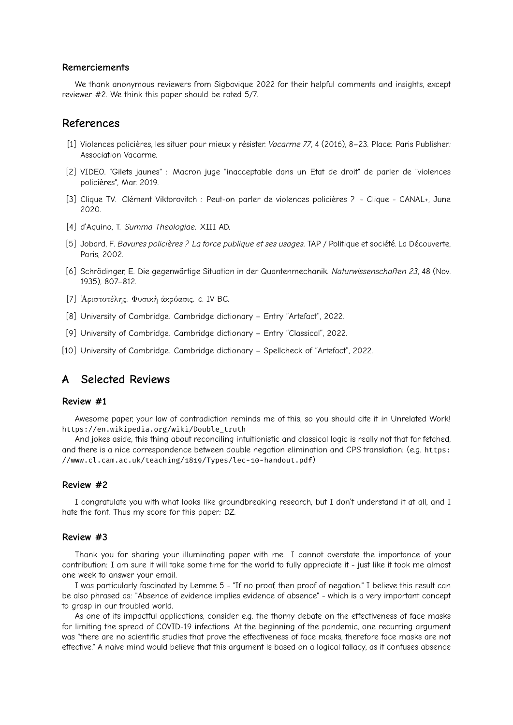#### **Remerciements**

We thank anonymous reviewers from Sigbovique 2022 for their helpful comments and insights, except reviewer #2. We think this paper should be rated 5/7.

## **References**

- <span id="page-6-6"></span>[1] Violences policières, les situer pour mieux y résister. *Vacarme 77*, 4 (2016), 8–23. Place: Paris Publisher: Association Vacarme.
- <span id="page-6-8"></span>[2] VIDEO. "Gilets jaunes" : Macron juge "inacceptable dans un Etat de droit" de parler de "violences policières", Mar. 2019.
- <span id="page-6-9"></span>[3] Clique TV. Clément Viktorovitch : Peut-on parler de violences policières ? - Clique - CANAL+, June 2020.
- <span id="page-6-5"></span>[4] d'Aquino, T. *Summa Theologiae*. XIII AD.
- <span id="page-6-7"></span>[5] Jobard, F. *Bavures policières ? La force publique et ses usages*. TAP / Politique et société. La Découverte, Paris, 2002.
- <span id="page-6-0"></span>[6] Schrödinger, E. Die gegenwärtige Situation in der Quantenmechanik. *Naturwissenschaften 23*, 48 (Nov. 1935), 807–812.
- <span id="page-6-4"></span>[7] ᾿Αριστοτέλης. Φυσικὴ ἀκρόασις. c. IV BC.
- <span id="page-6-1"></span>[8] University of Cambridge. Cambridge dictionary – Entry "Artefact", 2022.
- <span id="page-6-3"></span>[9] University of Cambridge. Cambridge dictionary – Entry "Classical", 2022.
- <span id="page-6-2"></span>[10] University of Cambridge. Cambridge dictionary – Spellcheck of "Artefact", 2022.

# **A Selected Reviews**

#### **Review #1**

Awesome paper, your law of contradiction reminds me of this, so you should cite it in Unrelated Work! [https://en.wikipedia.org/wiki/Double\\_truth](https://en.wikipedia.org/wiki/Double_truth)

And jokes aside, this thing about reconciling intuitionistic and classical logic is really not that far fetched, and there is a nice correspondence between double negation elimination and CPS translation: (e.g. [https:](https://www.cl.cam.ac.uk/teaching/1819/Types/lec-10-handout.pdf) [//www.cl.cam.ac.uk/teaching/1819/Types/lec-10-handout.pdf](https://www.cl.cam.ac.uk/teaching/1819/Types/lec-10-handout.pdf))

## **Review #2**

I congratulate you with what looks like groundbreaking research, but I don't understand it at all, and I hate the font. Thus my score for this paper: DZ.

#### **Review #3**

Thank you for sharing your illuminating paper with me. I cannot overstate the importance of your contribution: I am sure it will take some time for the world to fully appreciate it - just like it took me almost one week to answer your email.

I was particularly fascinated by Lemme 5 - "If no proof, then proof of negation." I believe this result can be also phrased as: "Absence of evidence implies evidence of absence" - which is a very important concept to grasp in our troubled world.

As one of its impactful applications, consider e.g. the thorny debate on the effectiveness of face masks for limiting the spread of COVID-19 infections. At the beginning of the pandemic, one recurring argument was "there are no scientific studies that prove the effectiveness of face masks, therefore face masks are not effective." A naive mind would believe that this argument is based on a logical fallacy, as it confuses absence